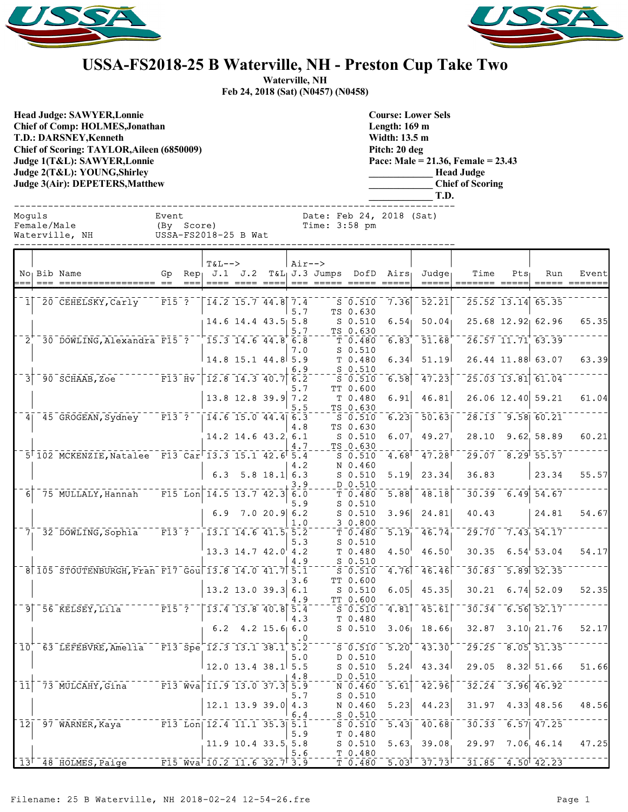



## **USSA-FS2018-25 B Waterville, NH - Preston Cup Take Two**

**Waterville, NH Feb 24, 2018 (Sat) (N0457) (N0458)**

**Head Judge: SAWYER,Lonnie Chief of Comp: HOLMES,Jonathan T.D.: DARSNEY,Kenneth Chief of Scoring: TAYLOR,Aileen (6850009) Judge 1(T&L): SAWYER,Lonnie Judge 2(T&L): YOUNG,Shirley Judge 3(Air): DEPETERS,Matthew** 

**Course: Lower Sels Length: 169 m Width: 13.5 m Pitch: 20 deg Pace: Male = 21.36, Female = 23.43 \_\_\_\_\_\_\_\_\_\_\_\_\_ Head Judge \_\_\_\_\_\_\_\_\_\_\_\_\_ Chief of Scoring \_\_\_\_\_\_\_\_\_\_\_\_\_ T.D.**

| Moguls<br>Female/Male<br>Waterville, NH |  |                                                                                   | Event<br>(By Score) | USSA-FS2018-25 B Wat |                                                                        |            | Date: Feb 24, 2018 (Sat)<br>Time: 3:58 pm |                                                                                                      |                             |                                                           |       |                              |                                                            |       |
|-----------------------------------------|--|-----------------------------------------------------------------------------------|---------------------|----------------------|------------------------------------------------------------------------|------------|-------------------------------------------|------------------------------------------------------------------------------------------------------|-----------------------------|-----------------------------------------------------------|-------|------------------------------|------------------------------------------------------------|-------|
|                                         |  | No Bib Name                                                                       | -- --               | $T&L-->$             |                                                                        | $Air--$    |                                           |                                                                                                      |                             | Gp Rep $J.1$ $J.2$ T&L J.3 Jumps DofD Airs Judge<br>===== | Time  | Pts <sub>1</sub><br>=== ===: | Run                                                        | Event |
|                                         |  | 1 20 CEHELSKY, Carly F15 ?                                                        |                     |                      | $14.2$ 15.7 44.8 7.4                                                   | 5.7        |                                           | $S = 0.510$<br>TS 0.630                                                                              | 7.36                        | 52.21                                                     |       |                              | $25.52$ 13.14 65.35                                        |       |
|                                         |  |                                                                                   |                     |                      | $14.6$ 14.4 43.5 5.8                                                   | 5.7        |                                           | $S$ 0.510<br>TS 0.630                                                                                | 6.54                        | 50.04                                                     |       |                              | 25.68 12.92 62.96                                          | 65.35 |
|                                         |  | 2 30 DOWLING, Alexandra F15 ?                                                     |                     | $15.3$ 14.6 44.8 6.8 | $14.8$ 15.1 $44.8$ 5.9                                                 | 7.0        |                                           | $\bar{\tau}$ $\bar{0}$ .480 $\bar{\tau}$<br>$S$ 0.510<br>T 0.480                                     | 6.83<br>6.34                | 51.68<br>51.19                                            |       |                              | $\sqrt{26.57}$ $\sqrt{11.71}$ 63.39<br>26.44 11.88 63.07   | 63.39 |
| $3\lceil$                               |  | $-90$ SCHAAB, Zoe F13 Hv $12.8$ 14.3 40.7 6.2                                     |                     |                      |                                                                        | 6.9        |                                           | $S$ 0.510<br>$\overline{\begin{array}{c} 5 \ \overline{\begin{array}{c} 9 \end{array}} \end{array}}$ | $\overline{6.58}$           | $\overline{47.23}$                                        |       |                              | $25.03$ 13.81 61.04                                        |       |
|                                         |  |                                                                                   |                     |                      | $13.8$ 12.8 39.9 7.2                                                   | 5.7<br>5.5 |                                           | TT 0.600<br>T 0.480<br>TS 0.630                                                                      | 6.91                        | 46.81                                                     |       |                              | 26.06 12.40 59.21                                          | 61.04 |
|                                         |  | $4$ <sup>-45</sup> GROGEAN, Sydney F13 <sup>-2</sup>                              |                     |                      | $\overline{14.6}$ $\overline{15.0}$ $\overline{44.4}$ $\overline{6.3}$ | 4.8        |                                           | 50.510<br>TS 0.630                                                                                   | 6.23                        | $\overline{50.63}$                                        |       |                              | $\sqrt{28.13}$ 9.58 60.21                                  |       |
|                                         |  | 5 102 MCKENZIE, Natalee F13 Car 13.3 15.1 42.6 5.4                                |                     |                      | 14.2 14.6 43.2 6.1                                                     | 4.7        |                                           | $S$ 0.510<br>TS 0.630<br>50.510                                                                      | 6.07<br>$4.68$ <sup>T</sup> | 49.27<br>47.28                                            |       |                              | $28.10$ $9.62$ 58.89<br>$\sqrt{29.07}$ $\sqrt{8.29}$ 55.57 | 60.21 |
|                                         |  |                                                                                   |                     |                      | 6.3 5.8 18.1 6.3                                                       | 4.2        |                                           | N 0.460<br>$S$ 0.510                                                                                 | 5.19                        | 23.34                                                     | 36.83 |                              | 23.34                                                      | 55.57 |
| 6 <sup>1</sup>                          |  | 75 MULLALY, Hannah F15 Lon 14.5 13.7 42.3 6.0                                     |                     |                      |                                                                        | 3.9<br>5.9 |                                           | D 0.510<br>$\bar{1}$ $\bar{0}$ , $\bar{4}80$<br>$S$ 0.510                                            | 5.88                        | $\left\lceil \frac{1}{48.18} \right\rceil$                |       |                              | $30.39 - 6.49$ 54.67                                       |       |
|                                         |  |                                                                                   |                     |                      | $6.9$ 7.0 20.9 6.2                                                     | 1.0        |                                           | $S$ 0.510<br>$\frac{3}{2}$ - 0.800                                                                   | 3.96                        | 24.81                                                     | 40.43 |                              | 24.81                                                      | 54.67 |
|                                         |  | $7_1 - 32$ DOWLING, Sophia F13 ? 13.1 14.6 41.5 5.2                               |                     |                      | $13.3$ $14.7$ $42.0$ $4.2$                                             | 5.3        |                                           | $\bar{\tau}$ 0.480 $\bar{\tau}$<br>$S$ 0.510<br>T 0.480                                              | 5.19<br>4.50                | $\sqrt{46.74}$<br>46.50                                   |       |                              | $\overline{29.70}$ 7.43 54.17<br>$30.35$ 6.54 53.04        | 54.17 |
|                                         |  | 8 105 STOUTENBURGH, Fran F17 Gou 13.8 14.0 41.7 5.1                               |                     |                      |                                                                        | 4.9        |                                           | $S$ 0.510<br>$5 - 5 - 5 = 10$                                                                        |                             | $4.76$ <sup>-46.46</sup>                                  |       |                              | $30.83 - 5.89$ 52.35                                       |       |
|                                         |  |                                                                                   |                     |                      | $13.2$ 13.0 39.3 6.1                                                   | 3.6<br>4.9 |                                           | TT 0.600<br>$S$ 0.510<br>TT 0.600                                                                    | 6.05                        | 45.35                                                     | 30.21 |                              | $6.74$ 52.09                                               | 52.35 |
|                                         |  | <sup>-</sup> 9 <sup>-</sup> 56 KELSEY, Lila F15 <sup>-</sup> ?                    |                     |                      | $-13.4$ $13.8$ $40.8$ 5.4                                              | 4.3        |                                           | $\overline{\text{s}}$ $\overline{\text{0}}$ $\overline{\text{s}}$ $\overline{\text{10}}$<br>T 0.480  | 4.81                        | 45.61                                                     |       |                              | $30.34 - 6.56$ 52.17                                       |       |
|                                         |  | $10^{+}$ 63 LEFEBVRE, Amelia F13 Spe <sup><math>-</math></sup> 12.3 13.1 38.1 5.2 |                     |                      | $6.2$ 4.2 15.6 6.0                                                     | $\cdot$ 0  |                                           | $S$ 0.510                                                                                            |                             | $3.06$ 18.66<br>$5^-0.510^-5.20^+0.33.30$                 |       |                              | $32.87$ $3.10$ 21.76<br>$29.25 - 8.05$ 51.35               | 52.17 |

5.0 D 0.510

4.8 D 0.510

 $\frac{5.6}{3.9}$ ---- $\frac{T}{T}$  $\frac{0.480}{0.480}$ 

S 0.510

 $S$  0.510

5.9 T 0.480

 $11$  73 MULCAHY, Gina F13 Wva 11.9 13.0 37.3 5.9  $-7$  N 0.460 5.61 42.96  $-32.24$  3.96 46.92

12 97 WARNER, Kaya F13 Lon 12.4 11.1 35.3 5.1  $S = \begin{bmatrix} 5.43 & 0.68 & 0.30 & 0.33 & 6.57 \\ 5.9 & 0.480 & 0.480 & 0.480 & 0.480 & 0.480 \end{bmatrix}$ 

 $13^{\dagger}$  48 HOLMES, Paige F15 Wva 10.2 11.6 32.7  $3.9$  T  $^{-1}$   $0.480$  5.03  $^{-3}$   $7.73^{\dagger}$  31.85 4.50 42.23

12.0 13.4 38.1 5.5 S 0.510 5.24 43.34 29.05 8.32 51.66 51.66

12.1 13.9 39.0 4.3 N 0.460 5.23 44.23 31.97 4.33 48.56 48.56

11.9 10.4 33.5 5.8 S 0.510 5.63 39.08 29.97 7.06 46.14 47.25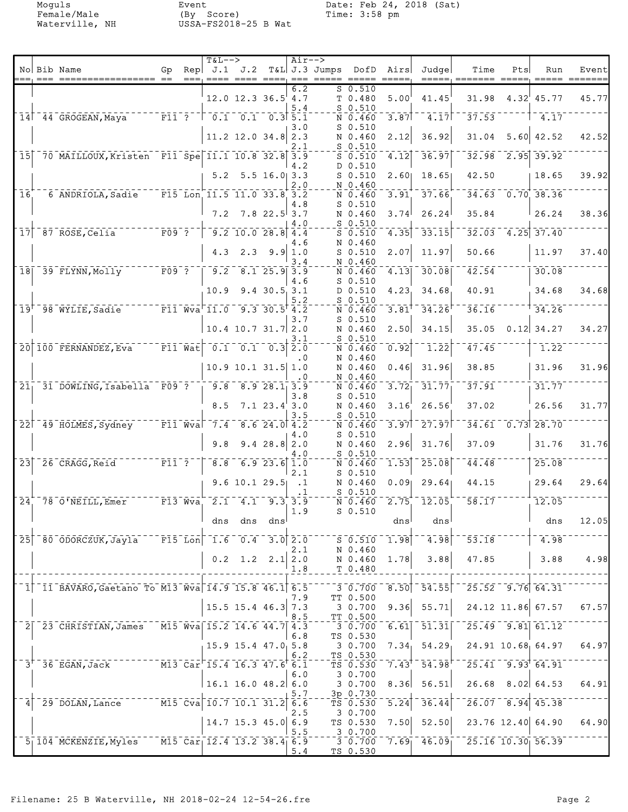Moguls Event Event Date: Feb 24, 2018 (Sat)

|                            |                                                                              |                                                                                                                                                                                                                                                                                                                                                                                      |             | $T&L-->$                                              |                                                         |                  | $Air--$ |               |                                                                         |                         |                                      |                                        |     |                                             |       |
|----------------------------|------------------------------------------------------------------------------|--------------------------------------------------------------------------------------------------------------------------------------------------------------------------------------------------------------------------------------------------------------------------------------------------------------------------------------------------------------------------------------|-------------|-------------------------------------------------------|---------------------------------------------------------|------------------|---------|---------------|-------------------------------------------------------------------------|-------------------------|--------------------------------------|----------------------------------------|-----|---------------------------------------------|-------|
|                            | No Bib Name<br>$==  =  =  =  = $                                             | Gp.                                                                                                                                                                                                                                                                                                                                                                                  | Rep<br>$==$ | J.1                                                   | J.2                                                     |                  |         | T&L J.3 Jumps | DofD                                                                    | Airs<br>$=$ $=$ $=$ $=$ | Judge                                | Time                                   | Pts | Run                                         | Event |
|                            |                                                                              |                                                                                                                                                                                                                                                                                                                                                                                      |             |                                                       | $12.0$ $12.3$ $36.5$ $4.7$                              |                  | 6.2     |               | $S_0.510$<br>T 0.480                                                    | 5.00                    | 41.45                                | 31.98                                  |     | $4.32'$ $45.77$                             | 45.77 |
|                            | $14$ <sup>-44</sup> GROGEAN, Maya                                            |                                                                                                                                                                                                                                                                                                                                                                                      |             | $T = 2.3$ F11 ? $T = 0.1$ 0.1 0.3 5.1                 |                                                         |                  | 5.4     |               | $S$ 0.510                                                               |                         | $\overline{4.17}$                    | 37.53                                  |     |                                             |       |
|                            |                                                                              |                                                                                                                                                                                                                                                                                                                                                                                      |             |                                                       |                                                         |                  | 3.0     |               | N 0.460<br>$S$ 0.510                                                    | 3.87                    |                                      |                                        |     | 7.17                                        |       |
|                            |                                                                              |                                                                                                                                                                                                                                                                                                                                                                                      |             |                                                       | $11.2$ 12.0 34.8 2.3                                    |                  |         |               | N 0.460                                                                 | 2.12                    | 36.92                                | 31.04                                  |     | $5.60$ 42.52                                | 42.52 |
| 15                         | 70 MAILLOUX, Kristen F11 Spe 11.1 10.8 32.8 3.9                              |                                                                                                                                                                                                                                                                                                                                                                                      |             |                                                       |                                                         |                  | 2.1     |               | $S$ 0.510<br>$S$ 0.510                                                  | 4.12                    | 36.97                                | 32.98                                  |     | $\overline{2.95}$ 39.92                     |       |
|                            |                                                                              |                                                                                                                                                                                                                                                                                                                                                                                      |             |                                                       |                                                         |                  | 4.2     |               | D 0.510                                                                 |                         |                                      |                                        |     |                                             |       |
|                            |                                                                              |                                                                                                                                                                                                                                                                                                                                                                                      |             | 5.2                                                   |                                                         | $5.5$ 16.0 3.3   | 2.0     |               | $S_0.510$<br>N 0.460                                                    | 2.60                    | 18.65                                | 42.50                                  |     | 18.65                                       | 39.92 |
| $\overline{16}$            | 6 ANDRIOLA, Sadie                                                            |                                                                                                                                                                                                                                                                                                                                                                                      |             | $F15$ Lon $11.5$ $11.0$ $33.8$ $3.2$                  |                                                         |                  |         |               | N 0.460                                                                 | 3.91                    | 37.66                                |                                        |     | $34.63 - 0.70$ 38.36                        |       |
|                            |                                                                              |                                                                                                                                                                                                                                                                                                                                                                                      |             | 7.2                                                   |                                                         | $7.8$ 22.5 3.7   | 4.8     |               | $S$ 0.510<br>N 0.460                                                    | 3.74                    | 26.24                                | 35.84                                  |     | 26.24                                       | 38.36 |
|                            |                                                                              |                                                                                                                                                                                                                                                                                                                                                                                      |             |                                                       |                                                         |                  | 4.0     |               | $S$ 0.510                                                               |                         |                                      |                                        |     |                                             |       |
| 17                         | $-87$ ROSE, Celia                                                            | <sup>---</sup> F09 <sup>-</sup> ?                                                                                                                                                                                                                                                                                                                                                    |             |                                                       | $\begin{bmatrix} 9.2 & 10.0 & 28.8 & 4.4 \end{bmatrix}$ |                  | 4.6     |               | $S$ 0.510<br>N 0.460                                                    | 4.35                    | 33.15                                |                                        |     | $32.03 - 4.25$ 37.40                        |       |
|                            |                                                                              |                                                                                                                                                                                                                                                                                                                                                                                      |             | 4.3                                                   | 2.3                                                     | 9.9              | 1.0     |               | $S$ 0.510                                                               | 2.07                    | 11.97                                | 50.66                                  |     | 11.97                                       | 37.40 |
|                            | $18$ $-39$ FLYNN, Molly $   F09$ ?                                           |                                                                                                                                                                                                                                                                                                                                                                                      |             |                                                       | $-9.2 - 8.1 - 25.9$ 3.9                                 |                  | 3.4     |               | N 0.460<br>N 0.460                                                      | $\overline{4.13}$       | $-30.08$                             | 42.54                                  |     | 30.08                                       |       |
|                            |                                                                              |                                                                                                                                                                                                                                                                                                                                                                                      |             |                                                       |                                                         |                  | 4.6     |               | $S$ 0.510                                                               |                         |                                      |                                        |     |                                             |       |
|                            |                                                                              |                                                                                                                                                                                                                                                                                                                                                                                      |             | 10.9                                                  |                                                         | $9.4$ 30.5 3.1   | 5.2     |               | D 0.510<br>$S$ 0.510                                                    | 4.23                    | 34.68                                | 40.91                                  |     | 34.68                                       | 34.68 |
|                            | $19^{\dagger}$ 38 WYLIE, Sadie $^{-1}$ F11 Wva 11.0 3.3 30.5 4.2             |                                                                                                                                                                                                                                                                                                                                                                                      |             |                                                       |                                                         |                  |         |               | N 0.460                                                                 | $3.81$ <sup>1</sup>     | 34.26                                | 36.16                                  |     | 34.26                                       |       |
|                            |                                                                              |                                                                                                                                                                                                                                                                                                                                                                                      |             |                                                       | $10.4$ 10.7 31.7 2.0                                    |                  | 3.7     |               | $S$ 0.510<br>N 0.460                                                    | 2.50                    | 34.15                                | 35.05                                  |     | $0.12$ 34.27                                | 34.27 |
|                            |                                                                              |                                                                                                                                                                                                                                                                                                                                                                                      |             |                                                       |                                                         |                  | 3.1     |               | $S_0.510$                                                               |                         |                                      |                                        |     |                                             |       |
|                            | 20 100 FERNANDEZ, Eva F11 Wat 0.1 0.1 0.3 2.0                                |                                                                                                                                                                                                                                                                                                                                                                                      |             |                                                       |                                                         |                  | . 0     |               | N 0.460<br>N 0.460                                                      | 0.92                    | $\overline{1.22}$                    | 47.45                                  |     | 1.22                                        |       |
|                            |                                                                              |                                                                                                                                                                                                                                                                                                                                                                                      |             |                                                       | $10.9$ 10.1 31.5 1.0                                    |                  |         |               | N 0.460                                                                 | 0.46                    | 31.96                                | 38.85                                  |     | 31.96                                       | 31.96 |
| 21 <sub>1</sub>            | $\overline{31}$ DOWLING, Isabella $\overline{F09}$ ?                         |                                                                                                                                                                                                                                                                                                                                                                                      |             |                                                       | $-9.8$ $-8.9$ $28.1$ $3.9$                              |                  | . 0     |               | N 0.460<br>N 0.460                                                      | 3.72                    | 31.77                                | 37.91                                  |     | 31.77                                       |       |
|                            |                                                                              |                                                                                                                                                                                                                                                                                                                                                                                      |             |                                                       |                                                         |                  | 3.8     |               | $S$ 0.510                                                               |                         |                                      |                                        |     |                                             |       |
|                            |                                                                              |                                                                                                                                                                                                                                                                                                                                                                                      |             | 8.5                                                   |                                                         | 7.123.43.0       | 3.5     |               | N 0.460<br>$S$ 0.510                                                    | 3.16                    | 26.56                                | 37.02                                  |     | 26.56                                       | 31.77 |
|                            | 22 49 HOLMES, Sydney                                                         | $ \overline{r11}$ $\overline{w}$ $\overline{v}$ a                                                                                                                                                                                                                                                                                                                                    |             | $7.4$ <sup>-</sup>                                    |                                                         | $8.6$ 24.0 $4.2$ |         |               | N 0.460                                                                 |                         | $\overline{3.97}$ $\overline{27.97}$ | 34.61                                  |     | $0.73$ 28.70                                |       |
|                            |                                                                              |                                                                                                                                                                                                                                                                                                                                                                                      |             | 9.8                                                   |                                                         | 9.428.82.0       | 4.0     |               | $S$ 0.510<br>N 0.460                                                    | 2.96                    | 31.76                                | 37.09                                  |     | 31.76                                       | 31.76 |
|                            |                                                                              |                                                                                                                                                                                                                                                                                                                                                                                      |             |                                                       |                                                         |                  | 4.O     |               | $S$ 0.510                                                               |                         |                                      |                                        |     |                                             |       |
| $\overline{2}\overline{3}$ | 26 CRAGG, Reid                                                               | $\overline{r}$ $\overline{r}$ $\overline{r}$ $\overline{r}$ $\overline{r}$ $\overline{r}$ $\overline{r}$ $\overline{r}$ $\overline{r}$ $\overline{r}$ $\overline{r}$ $\overline{r}$ $\overline{r}$ $\overline{r}$ $\overline{r}$ $\overline{r}$ $\overline{r}$ $\overline{r}$ $\overline{r}$ $\overline{r}$ $\overline{r}$ $\overline{r}$ $\overline{r}$ $\overline{r}$ $\overline{$ |             | $\overline{8.8}$                                      | $-6.923.610$                                            |                  | 2.1     |               | N 0.460<br>$S$ 0.510                                                    | $\overline{1.53}$       | 25.08                                | 44.48                                  |     | 25.08                                       |       |
|                            |                                                                              |                                                                                                                                                                                                                                                                                                                                                                                      |             |                                                       | $9.6$ 10.1 29.5 .1                                      |                  |         |               | N 0.460                                                                 | 0.09                    | 29.64                                | 44.15                                  |     | 29.64                                       | 29.64 |
| $\bar{2}4$                 | $78^\circ$ O'NEILL, Emer<br>F13 Wva, 2.1 4.1 9.3 3.9                         |                                                                                                                                                                                                                                                                                                                                                                                      |             |                                                       |                                                         |                  |         |               | $S$ 0.510<br>N 0.460                                                    | 2.75                    | 12.05                                | 58.17                                  |     | 12.05                                       |       |
|                            |                                                                              |                                                                                                                                                                                                                                                                                                                                                                                      |             |                                                       |                                                         |                  | 1.9     |               | $S_0.510$                                                               |                         |                                      |                                        |     |                                             |       |
|                            |                                                                              |                                                                                                                                                                                                                                                                                                                                                                                      |             | dns                                                   |                                                         | dns dns          |         |               |                                                                         | dns                     | dns                                  |                                        |     | dns                                         | 12.05 |
| $\overline{25}$            | $-80$ ODORCZUK, Jayla $-715$ Lon $-1.6$ 0.4 3.0 2.0                          |                                                                                                                                                                                                                                                                                                                                                                                      |             |                                                       |                                                         |                  |         |               | $S$ 0.510                                                               | 1.98                    | 4.98                                 | $\overline{53.18}$                     |     | $-4.98$                                     |       |
|                            |                                                                              |                                                                                                                                                                                                                                                                                                                                                                                      |             |                                                       | $0.2 \quad 1.2 \quad 2.1   2.0$                         |                  | 2.1     |               | N 0.460<br>N 0.460                                                      | 1.78                    | 3.88                                 | 47.85                                  |     | 3.88                                        | 4.98  |
|                            |                                                                              |                                                                                                                                                                                                                                                                                                                                                                                      |             |                                                       |                                                         |                  | 1.8     |               | T 0.480                                                                 |                         |                                      |                                        |     |                                             |       |
|                            | $1$ <sup>-11</sup> BAVARO, Gaetano To M13 Wva <sup>-14.9</sup> 15.8 46.1 6.5 |                                                                                                                                                                                                                                                                                                                                                                                      |             |                                                       |                                                         |                  |         |               | $\frac{-5}{0.700}$                                                      | $\sqrt{8.50}$           | $-54.55$                             |                                        |     | $-25.52 - 9.76$ 64.31                       |       |
|                            |                                                                              |                                                                                                                                                                                                                                                                                                                                                                                      |             |                                                       |                                                         |                  | 7.9     |               | TT 0.500                                                                |                         | 55.71                                |                                        |     | 24.12 11.86 67.57                           | 67.57 |
|                            |                                                                              |                                                                                                                                                                                                                                                                                                                                                                                      |             |                                                       | $15.5$ 15.4 46.3 7.3                                    |                  | 8.5     |               | 3 0.700<br>TT 0.500                                                     | 9.36                    |                                      |                                        |     |                                             |       |
|                            | $2$ <sup>-23</sup> CHRISTIAN, James M15 Wva <sup>-15.2</sup> 14.6 44.7 4.3   |                                                                                                                                                                                                                                                                                                                                                                                      |             |                                                       |                                                         |                  |         |               | $\frac{-}{3}$ $\frac{1}{0}$ , $\frac{1}{7}$ $\frac{1}{0}$ $\frac{1}{0}$ | 6.61                    | $\bar{ }$ 51.31 $\bar{ }$            |                                        |     | $\sqrt{25.49}$ $\sqrt{9.81}$ $\sqrt{61.12}$ |       |
|                            |                                                                              |                                                                                                                                                                                                                                                                                                                                                                                      |             |                                                       | $15.9$ 15.4 $47.0$ 5.8                                  |                  | 6.8     |               | TS 0.530<br>3 0.700                                                     | $7.34_1$                | 54.29                                |                                        |     | 24.91 10.68 64.97                           | 64.97 |
|                            |                                                                              |                                                                                                                                                                                                                                                                                                                                                                                      |             | $^{-1}$ M13 $^{-}$ Car $^{-}$ 15.4 16.3 47.6 $^+$ 6.1 |                                                         |                  | 6.2     |               | TS 0.530                                                                |                         | $7.43^{\dagger}$ 54.98               |                                        |     | $\sqrt{25.41}$ $\sqrt{9.93}$ $\sqrt{64.91}$ |       |
| $3^{\circ}$                | $-36$ EGAN, Jack $-$                                                         |                                                                                                                                                                                                                                                                                                                                                                                      |             |                                                       |                                                         |                  | 6.0     |               | TS 0.530<br>30.700                                                      |                         |                                      |                                        |     |                                             |       |
|                            |                                                                              |                                                                                                                                                                                                                                                                                                                                                                                      |             |                                                       | 16.1 16.0 48.2 6.0                                      |                  |         |               | 3 0.700                                                                 | 8.36                    | 56.51                                |                                        |     | $26.68$ $8.02$ 64.53                        | 64.91 |
|                            | $29$ DOLAN, Lance $M15$ $Cva$ $10.7$ $10.1$ $31.2$ $6.6$                     |                                                                                                                                                                                                                                                                                                                                                                                      |             |                                                       |                                                         |                  | 5.7     |               | 3p 0.730<br>TS 0.530                                                    | 5.24                    | 36.44                                |                                        |     | $\sqrt{26.07}$ $\sqrt{8.94}$ $\sqrt{45.38}$ |       |
|                            |                                                                              |                                                                                                                                                                                                                                                                                                                                                                                      |             |                                                       |                                                         |                  | 2.5     |               | 3 0.700                                                                 | 7.50                    | 52.50                                |                                        |     | $23.76$ 12.40 64.90                         | 64.90 |
|                            |                                                                              |                                                                                                                                                                                                                                                                                                                                                                                      |             |                                                       | $14.7$ 15.3 45.0 6.9                                    |                  | 5.5     |               | TS 0.530<br>$-20.700$                                                   |                         |                                      |                                        |     |                                             |       |
|                            | 5 104 MCKENZIE, Myles M15 Car 12.4 13.2 38.4 6.9                             |                                                                                                                                                                                                                                                                                                                                                                                      |             |                                                       |                                                         |                  |         |               | $\bar{3}\ \bar{0}\ \bar{.}\ \bar{7}\bar{0}\bar{0}$ .<br>TS 0.530        |                         |                                      | $7.69$ $46.09$ $25.16$ $10.30$ $56.39$ |     |                                             |       |
|                            |                                                                              |                                                                                                                                                                                                                                                                                                                                                                                      |             |                                                       |                                                         |                  | 5.4     |               |                                                                         |                         |                                      |                                        |     |                                             |       |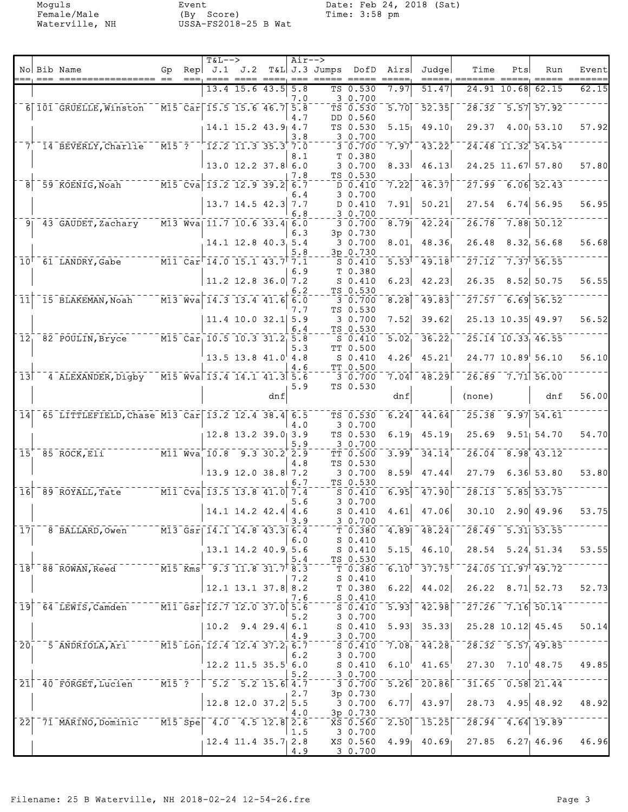Moguls Event Event Date: Feb 24, 2018 (Sat)

|                  |  |                                                                                      |                                                                                                                                                                                                                                                                                                                                                                                                                                                                                 | <b>T&amp;L--&gt;</b>                        |                            |     | $Air--$ |                    |                                                                                         |                                                                        |                                      |                                                                                                                            |             |                                             |       |
|------------------|--|--------------------------------------------------------------------------------------|---------------------------------------------------------------------------------------------------------------------------------------------------------------------------------------------------------------------------------------------------------------------------------------------------------------------------------------------------------------------------------------------------------------------------------------------------------------------------------|---------------------------------------------|----------------------------|-----|---------|--------------------|-----------------------------------------------------------------------------------------|------------------------------------------------------------------------|--------------------------------------|----------------------------------------------------------------------------------------------------------------------------|-------------|---------------------------------------------|-------|
|                  |  | No Bib Name                                                                          | Gp.                                                                                                                                                                                                                                                                                                                                                                                                                                                                             | Rep $J.1$ $J.2$                             |                            |     |         | T&L J.3 Jumps DofD |                                                                                         | Airs                                                                   | Judge                                | Time                                                                                                                       | Pts         | Run                                         | Event |
|                  |  | === ================= ==                                                             |                                                                                                                                                                                                                                                                                                                                                                                                                                                                                 |                                             | $13.4$ 15.6 43.5           |     | 5.8     |                    | TS 0.530                                                                                | $\qquad \qquad \doteq\qquad \qquad \doteq\qquad \qquad \qquad$<br>7.97 | 51.47                                | =====, ======= =====, ===== =======                                                                                        | 24.91 10.68 | 62.15                                       | 62.15 |
|                  |  |                                                                                      |                                                                                                                                                                                                                                                                                                                                                                                                                                                                                 |                                             |                            |     | 7.0     |                    | 30.700                                                                                  |                                                                        |                                      |                                                                                                                            |             |                                             |       |
|                  |  | 6 101 GRUELLE, Winston                                                               |                                                                                                                                                                                                                                                                                                                                                                                                                                                                                 | $\sqrt{15}$ $\bar{C}$ ar 15.5 15.6 46.7 5.8 |                            |     |         |                    | TS 0.530                                                                                | $\overline{5.70}$                                                      | 52.35                                |                                                                                                                            |             | $28.32 - 5.57$ 57.92                        |       |
|                  |  |                                                                                      |                                                                                                                                                                                                                                                                                                                                                                                                                                                                                 |                                             |                            |     | 4.7     |                    | DD 0.560                                                                                |                                                                        |                                      |                                                                                                                            |             | 4.00, 53.10                                 |       |
|                  |  |                                                                                      |                                                                                                                                                                                                                                                                                                                                                                                                                                                                                 |                                             | $14.1$ $15.2$ $43.9$ $4.7$ |     | 3.8     |                    | TS 0.530<br>30.700                                                                      | 5.15                                                                   | 49.10 <sub>1</sub>                   | 29.37                                                                                                                      |             |                                             | 57.92 |
|                  |  | 7 14 BEVERLY, Charlie                                                                | $\overline{\phantom{0}}$ $\overline{\phantom{0}}$ $\overline{\phantom{0}}$ $\overline{\phantom{0}}$ $\overline{\phantom{0}}$ $\overline{\phantom{0}}$ $\overline{\phantom{0}}$ $\overline{\phantom{0}}$ $\overline{\phantom{0}}$ $\overline{\phantom{0}}$ $\overline{\phantom{0}}$ $\overline{\phantom{0}}$ $\overline{\phantom{0}}$ $\overline{\phantom{0}}$ $\overline{\phantom{0}}$ $\overline{\phantom{0}}$ $\overline{\phantom{0}}$ $\overline{\phantom{0}}$ $\overline{\$ | $12.2$ 11.3 35.3 7.0                        |                            |     |         |                    | $\overline{3}\,\overline{0}\,\overline{.}\,\overline{7}\,\overline{0}\,\overline{0}$    | 7.97                                                                   | 43.22                                |                                                                                                                            |             | $\overline{24.48}$ 11.32 54.54              |       |
|                  |  |                                                                                      |                                                                                                                                                                                                                                                                                                                                                                                                                                                                                 |                                             |                            |     | 8.1     |                    | T 0.380                                                                                 |                                                                        |                                      |                                                                                                                            |             |                                             |       |
|                  |  |                                                                                      |                                                                                                                                                                                                                                                                                                                                                                                                                                                                                 | $13.0$ 12.2 37.8 6.0                        |                            |     |         |                    | 30.700                                                                                  | 8.33                                                                   | 46.13                                |                                                                                                                            |             | 24.25 11.67 57.80                           | 57.80 |
|                  |  | 59 KOENIG, Noah M15 Cva 13.2 12.9 39.2 6.7                                           |                                                                                                                                                                                                                                                                                                                                                                                                                                                                                 |                                             |                            |     | 7.8     |                    | TS 0.530<br>D 0.410                                                                     | 7.22                                                                   | 46.37                                |                                                                                                                            |             | $27.99 - 6.06$ 52.43                        |       |
|                  |  |                                                                                      |                                                                                                                                                                                                                                                                                                                                                                                                                                                                                 |                                             |                            |     | 6.4     |                    | 30.700                                                                                  |                                                                        |                                      |                                                                                                                            |             |                                             |       |
|                  |  |                                                                                      |                                                                                                                                                                                                                                                                                                                                                                                                                                                                                 |                                             | $13.7$ 14.5 42.3 7.7       |     |         |                    | D 0.410                                                                                 | 7.91                                                                   | 50.21                                | 27.54                                                                                                                      |             | $6.74$ 56.95                                | 56.95 |
|                  |  |                                                                                      |                                                                                                                                                                                                                                                                                                                                                                                                                                                                                 |                                             |                            |     | 6.8     |                    | 3 0.700                                                                                 |                                                                        |                                      |                                                                                                                            |             |                                             |       |
|                  |  | 9 43 GAUDET, Zachary M13 Wva 11.7 10.6 33.4 6.0                                      |                                                                                                                                                                                                                                                                                                                                                                                                                                                                                 |                                             |                            |     |         |                    | 30.700                                                                                  | $\overline{8.79}$                                                      | 42.24                                |                                                                                                                            |             | $\overline{26.78}$ 7.88 50.12               |       |
|                  |  |                                                                                      |                                                                                                                                                                                                                                                                                                                                                                                                                                                                                 |                                             | 14.1 12.8 40.3 5.4         |     | 6.3     |                    | 3p 0.730<br>30.700                                                                      | 8.01                                                                   | 48.36                                | 26.48                                                                                                                      |             | 8.32, 56.68                                 | 56.68 |
|                  |  |                                                                                      |                                                                                                                                                                                                                                                                                                                                                                                                                                                                                 |                                             |                            |     | 5.8     |                    | 3p 0.730                                                                                |                                                                        |                                      |                                                                                                                            |             |                                             |       |
|                  |  | $10^{\dagger}$ 61 LANDRY, Gabe $11^{\dagger}$ Car 14.0 15.1 43.7 $\frac{1}{7}$ .1    |                                                                                                                                                                                                                                                                                                                                                                                                                                                                                 |                                             |                            |     |         |                    | $S_0.410$                                                                               | $\overline{5.53}$                                                      | 49.18                                |                                                                                                                            |             | $\sqrt{27.12}$ $\sqrt{7.37}$ 56.55          |       |
|                  |  |                                                                                      |                                                                                                                                                                                                                                                                                                                                                                                                                                                                                 |                                             |                            |     | 6.9     |                    | T 0.380                                                                                 |                                                                        |                                      |                                                                                                                            |             |                                             |       |
|                  |  |                                                                                      |                                                                                                                                                                                                                                                                                                                                                                                                                                                                                 |                                             | $11.2$ 12.8 36.0 7.2       |     |         |                    | $S_0.410$                                                                               | 6.23                                                                   | 42.23                                | 26.35                                                                                                                      |             | $8.52$ 50.75                                | 56.55 |
| $\overline{11}$  |  | $^{-1}$ 5 BLAKEMAN, Noah $^{-1}$ M13 Wva 14.3 13.4 41.6 6.0                          |                                                                                                                                                                                                                                                                                                                                                                                                                                                                                 |                                             |                            |     | 6.2     |                    | TS 0.530<br>3 0.700                                                                     | 8.28                                                                   | 49.83                                |                                                                                                                            |             | $\overline{27.57}$ 6.69 56.52               |       |
|                  |  |                                                                                      |                                                                                                                                                                                                                                                                                                                                                                                                                                                                                 |                                             |                            |     | 7.7     |                    | TS 0.530                                                                                |                                                                        |                                      |                                                                                                                            |             |                                             |       |
|                  |  |                                                                                      |                                                                                                                                                                                                                                                                                                                                                                                                                                                                                 |                                             | $11.4$ 10.0 32.1 5.9       |     |         |                    | 30.700                                                                                  | 7.52                                                                   | 39.62                                |                                                                                                                            |             | 25.13 10.35 49.97                           | 56.52 |
|                  |  |                                                                                      |                                                                                                                                                                                                                                                                                                                                                                                                                                                                                 |                                             |                            |     | 6.4     |                    | TS 0.530                                                                                |                                                                        |                                      |                                                                                                                            |             |                                             |       |
|                  |  | $121$ 82 POULIN, Bryce                                                               |                                                                                                                                                                                                                                                                                                                                                                                                                                                                                 | $\overline{M15}$ Car 10.5 10.3 31.2 5.8     |                            |     | 5.3     |                    | S 0.410<br>TT 0.500                                                                     | 5.02                                                                   | 36.22                                |                                                                                                                            |             | $25.14$ 10.33 46.55                         |       |
|                  |  |                                                                                      |                                                                                                                                                                                                                                                                                                                                                                                                                                                                                 |                                             | 13.5 13.8 41.0 4.8         |     |         |                    | $S_0.410$                                                                               | 4.26                                                                   | 45.21                                |                                                                                                                            |             | 24.77 10.89 56.10                           | 56.10 |
|                  |  |                                                                                      |                                                                                                                                                                                                                                                                                                                                                                                                                                                                                 |                                             |                            |     | 4.6     |                    | TT 0.500                                                                                |                                                                        |                                      |                                                                                                                            |             |                                             |       |
| 13               |  | 4 ALEXANDER, Digby                                                                   |                                                                                                                                                                                                                                                                                                                                                                                                                                                                                 | $\overline{M15}$ Wva 13.4 14.1 41.3 5.6     |                            |     |         |                    | 3 0.700                                                                                 | 7.04                                                                   | 48.29                                |                                                                                                                            |             | $\overline{26.89}$ 7.71 56.00               |       |
|                  |  |                                                                                      |                                                                                                                                                                                                                                                                                                                                                                                                                                                                                 |                                             |                            | dnf | 5.9     |                    | TS 0.530                                                                                | dnf                                                                    |                                      | (none)                                                                                                                     |             | dnf                                         | 56.00 |
|                  |  |                                                                                      |                                                                                                                                                                                                                                                                                                                                                                                                                                                                                 |                                             |                            |     |         |                    |                                                                                         |                                                                        |                                      |                                                                                                                            |             |                                             |       |
| 14               |  | 65 LITTLEFIELD, Chase M13 Car 13.2 12.4 38.4 6.5                                     |                                                                                                                                                                                                                                                                                                                                                                                                                                                                                 |                                             |                            |     |         |                    | TS 0.530                                                                                | 6.24                                                                   | 44.64                                |                                                                                                                            |             | $25.38$ 9.97 54.61                          |       |
|                  |  |                                                                                      |                                                                                                                                                                                                                                                                                                                                                                                                                                                                                 |                                             |                            |     | 4.0     |                    | 3 0.700                                                                                 |                                                                        |                                      |                                                                                                                            |             |                                             |       |
|                  |  |                                                                                      |                                                                                                                                                                                                                                                                                                                                                                                                                                                                                 |                                             | $12.8$ 13.2 39.0 3.9       |     |         |                    | TS 0.530<br>30.700                                                                      | 6.19                                                                   | 45.19                                | 25.69                                                                                                                      |             | $9.51$ 54.70                                | 54.70 |
|                  |  | $\overline{M11}$ $\overline{W}$ va 10.8 9.3 30.2 2.9<br>$15^\circ$ $85$ ROCK, Eli    |                                                                                                                                                                                                                                                                                                                                                                                                                                                                                 |                                             |                            |     | 5.9     |                    | TT 0.500                                                                                | $\overline{3.99}$                                                      | 34.14                                |                                                                                                                            |             | $26.04$ $8.98$ $43.12$                      |       |
|                  |  |                                                                                      |                                                                                                                                                                                                                                                                                                                                                                                                                                                                                 |                                             |                            |     | 4.8     |                    | TS 0.530                                                                                |                                                                        |                                      |                                                                                                                            |             |                                             |       |
|                  |  |                                                                                      |                                                                                                                                                                                                                                                                                                                                                                                                                                                                                 | $\vert$ 13.9 12.0 38.8 $\vert$ 7.2          |                            |     |         |                    | 30.700                                                                                  | 8.59                                                                   | 47.44                                | 27.79                                                                                                                      |             | 6.36 53.80                                  | 53.80 |
| $\overline{16}$  |  | 89 ROYALL, Tate 77 M11 Cva 13.5 13.8 41.0 7.4                                        |                                                                                                                                                                                                                                                                                                                                                                                                                                                                                 |                                             |                            |     | 6.7     |                    | TS 0.530                                                                                | 6.95                                                                   | 47.90                                | 28.13                                                                                                                      |             | $5.85$ $53.75$                              |       |
|                  |  |                                                                                      |                                                                                                                                                                                                                                                                                                                                                                                                                                                                                 |                                             |                            |     | 5.6     |                    | $S$ 0.410<br>3 0.700                                                                    |                                                                        |                                      |                                                                                                                            |             |                                             |       |
|                  |  |                                                                                      |                                                                                                                                                                                                                                                                                                                                                                                                                                                                                 |                                             | $14.1$ 14.2 42.4 4.6       |     |         |                    | $S_0.410$                                                                               | 4.61                                                                   | 47.06                                | 30.10                                                                                                                      |             | 2.90 49.96                                  | 53.75 |
|                  |  |                                                                                      |                                                                                                                                                                                                                                                                                                                                                                                                                                                                                 |                                             |                            |     | 3.9     |                    | 3 0.700                                                                                 |                                                                        |                                      |                                                                                                                            |             |                                             |       |
|                  |  | 17 8 BALLARD, Owen M13 Gsr 14.1 14.8 43.3 6.4                                        |                                                                                                                                                                                                                                                                                                                                                                                                                                                                                 |                                             |                            |     |         |                    |                                                                                         |                                                                        | $T$ 0.380 4.89 48.24                 |                                                                                                                            |             | $\sqrt{28.49}$ 5.31 53.55                   |       |
|                  |  |                                                                                      |                                                                                                                                                                                                                                                                                                                                                                                                                                                                                 |                                             | 13.1 14.2 40.9 5.6         |     | 6.0     |                    | S 0.410<br>$S$ 0.410                                                                    |                                                                        |                                      | $5.15$ 46.10 28.54 5.24 51.34                                                                                              |             |                                             | 53.55 |
|                  |  |                                                                                      |                                                                                                                                                                                                                                                                                                                                                                                                                                                                                 |                                             |                            |     | 5.4     |                    | TS 0.530                                                                                |                                                                        |                                      |                                                                                                                            |             |                                             |       |
|                  |  | $18^{+}$ 88 ROWAN, Reed $12^{+}$ M15 Kms <sup><math>-</math></sup> 9.3 11.8 31.7 8.3 |                                                                                                                                                                                                                                                                                                                                                                                                                                                                                 |                                             |                            |     |         |                    |                                                                                         |                                                                        |                                      | $T_{T}$ 0.380 6.10 <sup>+</sup> 37.75 <sup>+</sup> 24.05 11.97 <sup>+</sup> 49.72 <sup>-</sup>                             |             |                                             |       |
|                  |  |                                                                                      |                                                                                                                                                                                                                                                                                                                                                                                                                                                                                 |                                             |                            |     | 7.2     |                    | $S_0.410$                                                                               |                                                                        |                                      |                                                                                                                            |             |                                             |       |
|                  |  |                                                                                      |                                                                                                                                                                                                                                                                                                                                                                                                                                                                                 |                                             | $12.1$ 13.1 37.8 8.2       |     | 7.6     |                    | T 0.380<br>$S_0.410$                                                                    | 6.22                                                                   | 44.02                                |                                                                                                                            |             | $26.22$ $8.71$ 52.73                        | 52.73 |
| $\overline{19}$  |  | 64 LEWIS, Camden M11 Gsr 12.7 12.0 37.0 5.6                                          |                                                                                                                                                                                                                                                                                                                                                                                                                                                                                 |                                             |                            |     |         |                    | $\overline{\phantom{0}}$ s $\overline{\phantom{0}}$ o.410 $\overline{\phantom{0}}$ s.93 |                                                                        | $42.98$ <sup>-3</sup>                |                                                                                                                            |             | $\sqrt{27.26}$ $\sqrt{7.16}$ $\sqrt{50.14}$ |       |
|                  |  |                                                                                      |                                                                                                                                                                                                                                                                                                                                                                                                                                                                                 |                                             |                            |     | 5.2     |                    | 30.700                                                                                  |                                                                        |                                      |                                                                                                                            |             |                                             |       |
|                  |  |                                                                                      |                                                                                                                                                                                                                                                                                                                                                                                                                                                                                 |                                             | $10.2$ 9.4 29.4 6.1        |     |         |                    | S <sub>0.410</sub>                                                                      | 5.93                                                                   | 35.33                                |                                                                                                                            |             | 25.28 10.12 45.45                           | 50.14 |
| $\bar{2}\bar{0}$ |  | $-5$ ANDRIOLA, Ari $-7$ M15 Lon, 12.4 12.4 37.2 6.7                                  |                                                                                                                                                                                                                                                                                                                                                                                                                                                                                 |                                             |                            |     | 4.9     |                    | $-30.700$                                                                               |                                                                        | $50.410 - 7.08 - 44.28$              |                                                                                                                            |             | $\sqrt{28.32}$ $\sqrt{5.57}$ 49.85          |       |
|                  |  |                                                                                      |                                                                                                                                                                                                                                                                                                                                                                                                                                                                                 |                                             |                            |     | 6.2     |                    | 30.700                                                                                  |                                                                        |                                      |                                                                                                                            |             |                                             |       |
|                  |  |                                                                                      |                                                                                                                                                                                                                                                                                                                                                                                                                                                                                 |                                             | $12.2$ 11.5 35.5 6.0       |     |         |                    | $S_0.410$                                                                               | 6.10                                                                   | $41.65^{\circ}$                      |                                                                                                                            |             | $27.30$ $7.10$ $48.75$                      | 49.85 |
|                  |  |                                                                                      |                                                                                                                                                                                                                                                                                                                                                                                                                                                                                 |                                             |                            |     | 5.2     |                    | 30.700                                                                                  |                                                                        |                                      |                                                                                                                            |             |                                             |       |
|                  |  | 21 40 FORGET, Lucien M15 ?   5.2 5.2 15.6 4.7                                        |                                                                                                                                                                                                                                                                                                                                                                                                                                                                                 |                                             |                            |     |         |                    |                                                                                         |                                                                        |                                      | $-3\,$ $-6\,$ $-7\,0\,0$ $-5\,$ $\,2\,6$ $ 2\,0\,$ $\,8\,6$ $ -3\,1\,$ $\,6\,5$ $ 0\,$ $\,5\,8$ $\,$ $2\,1\,$ $\,4\,4$ $-$ |             |                                             |       |
|                  |  |                                                                                      |                                                                                                                                                                                                                                                                                                                                                                                                                                                                                 |                                             | $12.8$ 12.0 37.2 5.5       |     | 2.7     |                    | 3p 0.730<br>3 0.700                                                                     | 6.77                                                                   | 43.97                                |                                                                                                                            |             | $28.73$ 4.95 48.92                          | 48.92 |
|                  |  |                                                                                      |                                                                                                                                                                                                                                                                                                                                                                                                                                                                                 |                                             |                            |     | 4.0     |                    | 3p 0.730                                                                                |                                                                        |                                      |                                                                                                                            |             |                                             |       |
|                  |  | 22 71 MARINO, Dominic M15 Spe 4.0 4.5 12.8 2.6                                       |                                                                                                                                                                                                                                                                                                                                                                                                                                                                                 |                                             |                            |     |         |                    | X50.560                                                                                 |                                                                        | $\overline{2.50}$ $\overline{15.25}$ |                                                                                                                            |             | $\sqrt{28.94}$ $\sqrt{4.64}$ $\sqrt{19.89}$ |       |
|                  |  |                                                                                      |                                                                                                                                                                                                                                                                                                                                                                                                                                                                                 |                                             |                            |     | 1.5     |                    | 3 0.700                                                                                 |                                                                        |                                      |                                                                                                                            |             |                                             |       |
|                  |  |                                                                                      |                                                                                                                                                                                                                                                                                                                                                                                                                                                                                 |                                             | 12.4 11.4 35.7 2.8         |     | 4.9     |                    | 3 0.700                                                                                 |                                                                        |                                      | XS 0.560 4.99 40.69 27.85 6.27 46.96 46.96                                                                                 |             |                                             |       |
|                  |  |                                                                                      |                                                                                                                                                                                                                                                                                                                                                                                                                                                                                 |                                             |                            |     |         |                    |                                                                                         |                                                                        |                                      |                                                                                                                            |             |                                             |       |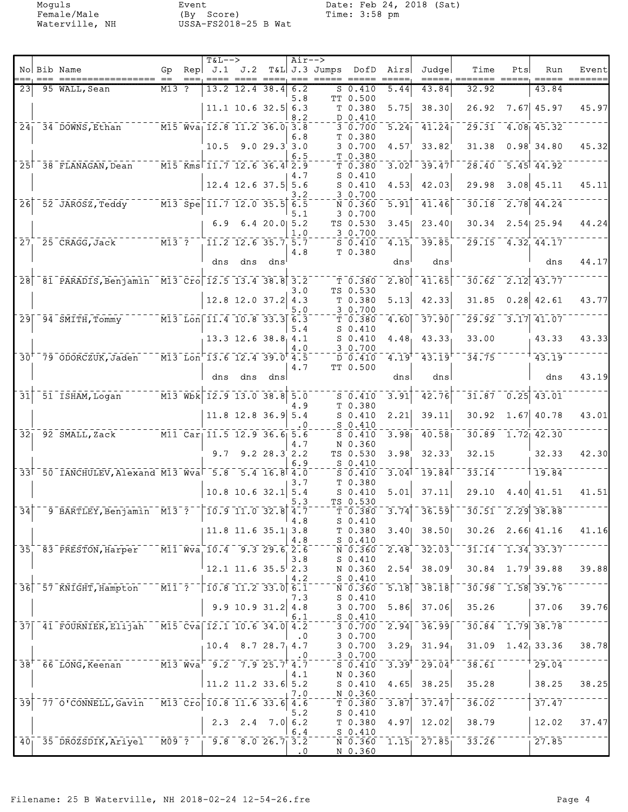Moguls Event Date: Feb 24, 2018 (Sat)<br>
Female/Male (By Score) Time: 3:58 pm

|                 |  |                                                                     |         | $T&L-->$                                                                                |                      |                | $Air--$          |                    |                                                                         |                     |                                                     |                                         |     |                                |       |
|-----------------|--|---------------------------------------------------------------------|---------|-----------------------------------------------------------------------------------------|----------------------|----------------|------------------|--------------------|-------------------------------------------------------------------------|---------------------|-----------------------------------------------------|-----------------------------------------|-----|--------------------------------|-------|
|                 |  | No Bib Name                                                         | Gp.     | Rep $J.1$ $J.2$                                                                         |                      |                |                  | T&L J.3 Jumps DofD |                                                                         | Airs                | Judge                                               | Time                                    | Pts | Run                            | Event |
| 23              |  | 95 WALL, Sean                                                       | $M13$ ? |                                                                                         | $13.2$ 12.4 38.4     |                | 6.2              |                    | $S_0.410$                                                               | 5.44                | 43.84                                               | 32.92                                   |     | 43.84                          |       |
|                 |  |                                                                     |         |                                                                                         | $11.1$ 10.6 32.5 6.3 |                | 5.8              |                    | TT 0.500<br>T 0.380                                                     | 5.75                | 38.30                                               | 26.92                                   |     | $7.67$ 45.97                   | 45.97 |
|                 |  |                                                                     |         |                                                                                         |                      |                | 8.2              |                    | D 0.410                                                                 |                     |                                                     |                                         |     |                                |       |
| $\overline{24}$ |  | $\overline{34}$ DOWNS, Ethan                                        |         | $\overline{M15}$ $\overline{W}$ va <sub>l</sub> 12.8 11.2 36.0 3.8                      |                      |                | 6.8              |                    | $3 - 0.700$<br>T 0.380                                                  | $\overline{5.24}$   | 41.24                                               | $\overline{29.31}$                      |     | $4.08$ $45.32$                 |       |
|                 |  |                                                                     |         | 10.5                                                                                    |                      | 9.029.33.0     |                  |                    | 3 0.700                                                                 | 4.57                | 33.82                                               | 31.38                                   |     | $0.98$ 34.80                   | 45.32 |
| 25 <sup>1</sup> |  | 38 FLANAGAN, Dean                                                   |         | $\overline{M15}$ Kms 11.7 12.6 36.4 2.9                                                 |                      |                | 6.5              |                    | T 0.380<br>T 0.380                                                      | $3.02$ <sup>T</sup> | $-39.47$                                            | 28.40                                   |     | $5.45$ 44.92                   |       |
|                 |  |                                                                     |         |                                                                                         |                      |                | 4.7              |                    | $S_0.410$                                                               |                     |                                                     |                                         |     |                                |       |
|                 |  |                                                                     |         |                                                                                         | $12.4$ 12.6 37.5 5.6 |                |                  |                    | $S_0.410$                                                               | 4.53                | 42.03                                               | 29.98                                   |     | $3.08$ 45.11                   | 45.11 |
| $\overline{2}6$ |  | $\bar{52}$ JAROSZ, Teddy                                            |         | $\sqrt{M13}$ Spe 11.7 12.0 35.5 6.5                                                     |                      |                | 3.2              |                    | 3 0.700<br>N 0.360                                                      | 5.91                | 41.46                                               | 30.18                                   |     | $\overline{2.78}$ 44.24        |       |
|                 |  |                                                                     |         |                                                                                         |                      |                | 5.1              |                    | 30.700                                                                  |                     |                                                     |                                         |     |                                |       |
|                 |  |                                                                     |         | 6.9                                                                                     |                      | $6.4$ 20.0 5.2 | 1.0              |                    | TS 0.530<br>30.700                                                      | 3.45                | 23.40                                               |                                         |     | 30.34 2.54 25.94               | 44.24 |
|                 |  | $27^{+25}_{-25}$ CRAGG, Jack $127^{+20}_{-20}$                      |         | $11.2$ 12.6 35.7 5.7                                                                    |                      |                |                  |                    | $S_0.410$                                                               | 4.15                | 39.85                                               |                                         |     | $\overline{29.15}$ 4.32, 44.17 |       |
|                 |  |                                                                     |         | dns                                                                                     |                      | dns dns        | 4.8              |                    | T 0.380                                                                 | dns                 | dns                                                 |                                         |     | dns                            | 44.17 |
|                 |  |                                                                     |         |                                                                                         |                      |                |                  |                    |                                                                         |                     |                                                     |                                         |     |                                |       |
| $\overline{28}$ |  | 781 PARADIS, Benjamin M13 Cro 12.5 13.4 38.8 3.2                    |         |                                                                                         |                      |                | 3.0              |                    | T 0.380<br>TS 0.530                                                     | 2.80                | 41.65                                               |                                         |     | $30.62 - 2.12$ 43.77           |       |
|                 |  |                                                                     |         |                                                                                         | $12.8$ 12.0 37.2     |                | 4.3              |                    | T 0.380                                                                 | 5.13                | 42.33                                               | 31.85                                   |     | $0.28$ 42.61                   | 43.77 |
|                 |  | $29^-$ 94 SMITH, Tommy $11.4$ 10.8 33.3 6.3                         |         |                                                                                         |                      |                | 5.0              |                    | 3 0.700<br>T 0.380                                                      | $-4.60$             | 37.90                                               |                                         |     | $29.92 - 3.17$ 41.07           |       |
|                 |  |                                                                     |         |                                                                                         |                      |                | 5.4              |                    | $S_0.410$                                                               |                     |                                                     |                                         |     |                                |       |
|                 |  |                                                                     |         |                                                                                         | $13.3$ 12.6 38.8 4.1 |                | 4.0              |                    | $S_0.410$<br>3 0.700                                                    | 4.48 <sub>1</sub>   | 43.33                                               | 33.00                                   |     | 43.33                          | 43.33 |
| 30 <sup>T</sup> |  | $79$ ODORCZUK, Jaden                                                |         | $\overline{M13}$ Lon <sup>-</sup> 13.6 12.4 39.0 4.5                                    |                      |                |                  |                    | D 0.410                                                                 | 4.19                | 43.19                                               | 34.75                                   |     | 43.19                          |       |
|                 |  |                                                                     |         | dns                                                                                     |                      | dns dns        | 4.7              |                    | TT 0.500                                                                | dns                 | dns                                                 |                                         |     | dns                            | 43.19 |
|                 |  |                                                                     |         |                                                                                         |                      |                |                  |                    |                                                                         |                     |                                                     |                                         |     |                                |       |
| $\overline{31}$ |  | $51$ ISHAM, Logan                                                   |         | $\overline{M13}$ Wbk 12.9 13.0 38.8 5.0                                                 |                      |                | 4.9              |                    | $S_0.410$<br>T 0.380                                                    | $\overline{3.91}$   | 42.76                                               |                                         |     | $31.87 - 0.25$ 43.01           |       |
|                 |  |                                                                     |         |                                                                                         | $11.8$ 12.8 36.9 5.4 |                |                  |                    | $S_0.410$                                                               | 2.21                | 39.11                                               | 30.92                                   |     | $1.67$ 40.78                   | 43.01 |
| 32 <sub>1</sub> |  | 92 SMALL, Zack                                                      |         | $\overline{M11}$ Car <sub>1</sub> 11.5 12.9 36.6 5.6                                    |                      |                | $\cdot$ 0        |                    | $S_0.410$<br>$S_0.410$                                                  | 3.98                | 40.58                                               | 30.89                                   |     | $1.72$ 42.30                   |       |
|                 |  |                                                                     |         |                                                                                         |                      |                | 4.7              |                    | N 0.360                                                                 |                     |                                                     |                                         |     |                                |       |
|                 |  |                                                                     |         | 9.7                                                                                     |                      | $9.2$ 28.3 2.2 | 6.9              |                    | TS 0.530<br>$S_0.410$                                                   | 3.98                | 32.33                                               | 32.15                                   |     | 32.33                          | 42.30 |
|                 |  | $33^{\dagger}$ 50 IANCHULEV, Alexand M13 Wva 5.8 5.4 16.8 4.0       |         |                                                                                         |                      |                |                  |                    | $S_0.410$                                                               | 3.04                | 19.84                                               | 33.14                                   |     | $\overline{19.84}$             |       |
|                 |  |                                                                     |         |                                                                                         | $10.8$ 10.6 32.1 5.4 |                | 3.7              |                    | T 0.380<br>$S_0.410$                                                    | 5.01                | 37.11                                               | 29.10                                   |     | 4.40   41.51                   | 41.51 |
|                 |  |                                                                     |         |                                                                                         |                      |                | 5.3              |                    | TS 0.530                                                                |                     |                                                     |                                         |     |                                |       |
| ⊺34⊺            |  | 9 BARTLEY, Benjamin M13 ?   10.9 11.0 32.8 4.7                      |         |                                                                                         |                      |                | 4.8              |                    | $T - 0.380$<br>$S_0.410$                                                |                     | $-3.74$ $-36.59$                                    | $-30.51 - 2.29$ 38.88                   |     |                                |       |
|                 |  |                                                                     |         |                                                                                         | $11.8$ 11.6 35.1 3.8 |                |                  |                    | T 0.380                                                                 |                     | $3.40$ $38.50$                                      |                                         |     | $30.26$ 2.66 41.16             | 41.16 |
|                 |  | 35 83 PRESTON, Harper M11 Wva 10.4 9.3 29.6 2.6                     |         |                                                                                         |                      |                | 4.8              |                    | $S_0.410$<br>N 0.360                                                    |                     | $2.48 - 32.03$                                      |                                         |     | $31.14$ $1.34$ $33.37$         |       |
|                 |  |                                                                     |         |                                                                                         |                      |                | 3.8              |                    | $S_0.410$                                                               |                     |                                                     |                                         |     |                                |       |
|                 |  |                                                                     |         |                                                                                         | $12.1$ 11.6 35.5 2.3 |                | 4.2              |                    | N 0.360<br>$S_0.410$                                                    |                     | $2.54^{+}$ 38.09                                    |                                         |     | $30.84$ 1.79 39.88             | 39.88 |
|                 |  | 36 57 KNIGHT, Hampton                                               |         | $\overline{\text{m11}}$ ? $\overline{\text{m10}}$ .8 $\overline{\text{m1}}$ .2 33.0 6.1 |                      |                |                  |                    | N 0.360                                                                 |                     | $\overline{5.18}$ $\overline{38.18}$ $\overline{1}$ |                                         |     | $-30.98 - 1.58$ 39.76          |       |
|                 |  |                                                                     |         |                                                                                         | 9.9 10.9 31.2 4.8    |                | 7.3              |                    | $S_0.410$<br>3 0.700                                                    |                     | $5.86$ 37.06                                        | 35.26                                   |     | 37.06                          | 39.76 |
|                 |  |                                                                     |         |                                                                                         |                      |                | 6.1              |                    | $S_0.410$                                                               |                     |                                                     |                                         |     |                                |       |
|                 |  | 37 41 FOURNIER, Elijah                                              |         | $\sqrt{15}$ $\bar{C}$ va $\sqrt{12.1}$ 10.6 34.0 4.2                                    |                      |                | $\cdot$ 0        |                    | 3 0.700<br>30.700                                                       |                     | $\overline{2.94}$ $\overline{36.99}$                |                                         |     | $30.84 - 1.79$ 38.78           |       |
|                 |  |                                                                     |         |                                                                                         | $10.4$ 8.7 28.7 4.7  |                |                  |                    | 30.700                                                                  | 3.29 <sub>1</sub>   | 31.94                                               |                                         |     | $31.09$ $1.42$ 33.36           | 38.78 |
|                 |  | $38^+$ 66 LONG, Keenan $12.7$ M13 Wva <sup>-</sup> 9.2 7.9 25.7 4.7 |         |                                                                                         |                      |                | . 0              |                    | 30.700<br>$\overline{\text{s}}$ $\overline{\text{o}}$ .410              |                     | $\mathbf{[3.39]}^\top$ $\mathbf{[29.04]}^\top$      | 38.61                                   |     | 29.04                          |       |
|                 |  |                                                                     |         |                                                                                         |                      |                | 4.1              |                    | N 0.360                                                                 |                     |                                                     |                                         |     |                                |       |
|                 |  |                                                                     |         |                                                                                         | $11.2$ 11.2 33.6 5.2 |                |                  |                    | $S_0.410$                                                               |                     | $4.65$ 38.25                                        | 35.28                                   |     | 38.25                          | 38.25 |
|                 |  | 39 77 0'CONNELL, Gavin M13 Cro 10.8 11.6 33.6 4.6                   |         |                                                                                         |                      |                | 7.0              |                    | N 0.360<br>$\bar{\tau}$ $\bar{0}$ $\bar{\tau}$ $\bar{3}80$ $\bar{\tau}$ |                     | $\overline{3.87}$ $\overline{37.47}$                | 36.02                                   |     | 37.47                          |       |
|                 |  |                                                                     |         |                                                                                         | $2.3$ $2.4$          |                | 5.2              |                    | $S_0.410$                                                               | 4.97                |                                                     |                                         |     |                                |       |
|                 |  |                                                                     |         |                                                                                         |                      |                | 7.0   6.2<br>6.4 |                    | T 0.380<br>$S_0.410$                                                    |                     | 12.02                                               | 38.79                                   |     | 12.02                          | 37.47 |
|                 |  | 40 35 DROZSDIK, Ariyel M09 ?   9.8 8.0 26.7 3.2                     |         |                                                                                         |                      |                | $\cdot$ 0        |                    | N 0.360<br>N 0.360                                                      |                     | $-1.15 - 27.85$                                     | $\bar{3}\bar{3}.\bar{2}\bar{6}$ $^{-1}$ |     | 27.85                          |       |
|                 |  |                                                                     |         |                                                                                         |                      |                |                  |                    |                                                                         |                     |                                                     |                                         |     |                                |       |